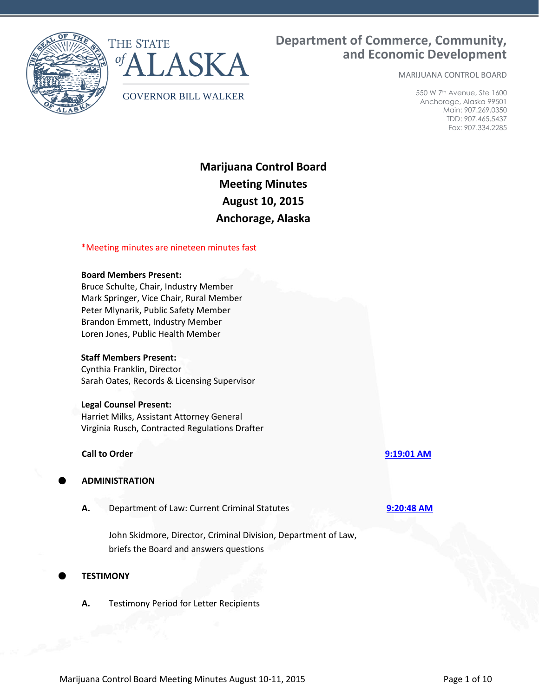



# **Department of Commerce, Community, and Economic Development**

MARIJUANA CONTROL BOARD

550 W 7th Avenue, Ste 1600 Anchorage, Alaska 99501 Main: 907.269.0350 TDD: 907.465.5437 Fax: 907.334.2285

# **Marijuana Control Board Meeting Minutes August 10, 2015 Anchorage, Alaska**

# \*Meeting minutes are nineteen minutes fast

## **Board Members Present:**

Bruce Schulte, Chair, Industry Member Mark Springer, Vice Chair, Rural Member Peter Mlynarik, Public Safety Member Brandon Emmett, Industry Member Loren Jones, Public Health Member

# **Staff Members Present:**

Cynthia Franklin, Director Sarah Oates, Records & Licensing Supervisor

## **Legal Counsel Present:**

Harriet Milks, Assistant Attorney General Virginia Rusch, Contracted Regulations Drafter

## **Call to Order [9:19:01 AM](ftr://?location="ABC Board"?date="10-Aug-2015"?position="09:19:01"?Data="e70b1c68")**

# **ADMINISTRATION**

**A.** Department of Law: Current Criminal Statutes **[9:20:48 AM](ftr://?location="ABC Board"?date="10-Aug-2015"?position="09:20:48"?Data="8a19e8ce")**

John Skidmore, Director, Criminal Division, Department of Law, briefs the Board and answers questions

# **TESTIMONY**

**A.** Testimony Period for Letter Recipients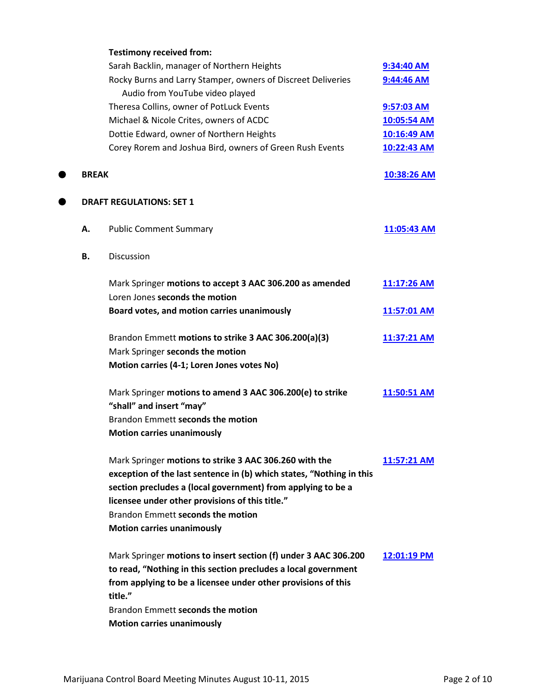|              | <b>Testimony received from:</b>                                                                                                                                                                                                                                                        |             |
|--------------|----------------------------------------------------------------------------------------------------------------------------------------------------------------------------------------------------------------------------------------------------------------------------------------|-------------|
|              | Sarah Backlin, manager of Northern Heights                                                                                                                                                                                                                                             | 9:34:40 AM  |
|              | Rocky Burns and Larry Stamper, owners of Discreet Deliveries                                                                                                                                                                                                                           | 9:44:46 AM  |
|              | Audio from YouTube video played                                                                                                                                                                                                                                                        |             |
|              | Theresa Collins, owner of PotLuck Events                                                                                                                                                                                                                                               | 9:57:03 AM  |
|              | Michael & Nicole Crites, owners of ACDC                                                                                                                                                                                                                                                | 10:05:54 AM |
|              | Dottie Edward, owner of Northern Heights                                                                                                                                                                                                                                               | 10:16:49 AM |
|              | Corey Rorem and Joshua Bird, owners of Green Rush Events                                                                                                                                                                                                                               | 10:22:43 AM |
| <b>BREAK</b> |                                                                                                                                                                                                                                                                                        | 10:38:26 AM |
|              | <b>DRAFT REGULATIONS: SET 1</b>                                                                                                                                                                                                                                                        |             |
| А.           | <b>Public Comment Summary</b>                                                                                                                                                                                                                                                          | 11:05:43 AM |
| <b>B.</b>    | <b>Discussion</b>                                                                                                                                                                                                                                                                      |             |
|              | Mark Springer motions to accept 3 AAC 306.200 as amended                                                                                                                                                                                                                               | 11:17:26 AM |
|              | Loren Jones seconds the motion                                                                                                                                                                                                                                                         |             |
|              | Board votes, and motion carries unanimously                                                                                                                                                                                                                                            | 11:57:01 AM |
|              | Brandon Emmett motions to strike 3 AAC 306.200(a)(3)                                                                                                                                                                                                                                   | 11:37:21 AM |
|              | Mark Springer seconds the motion                                                                                                                                                                                                                                                       |             |
|              | Motion carries (4-1; Loren Jones votes No)                                                                                                                                                                                                                                             |             |
|              | Mark Springer motions to amend 3 AAC 306.200(e) to strike<br>"shall" and insert "may"                                                                                                                                                                                                  | 11:50:51 AM |
|              | Brandon Emmett seconds the motion                                                                                                                                                                                                                                                      |             |
|              | <b>Motion carries unanimously</b>                                                                                                                                                                                                                                                      |             |
|              | Mark Springer motions to strike 3 AAC 306.260 with the<br>exception of the last sentence in (b) which states, "Nothing in this<br>section precludes a (local government) from applying to be a<br>licensee under other provisions of this title."<br>Brandon Emmett seconds the motion | 11:57:21 AM |
|              | <b>Motion carries unanimously</b>                                                                                                                                                                                                                                                      |             |
|              | Mark Springer motions to insert section (f) under 3 AAC 306.200<br>to read, "Nothing in this section precludes a local government<br>from applying to be a licensee under other provisions of this<br>title."                                                                          | 12:01:19 PM |
|              | Brandon Emmett seconds the motion                                                                                                                                                                                                                                                      |             |
|              | <b>Motion carries unanimously</b>                                                                                                                                                                                                                                                      |             |
|              |                                                                                                                                                                                                                                                                                        |             |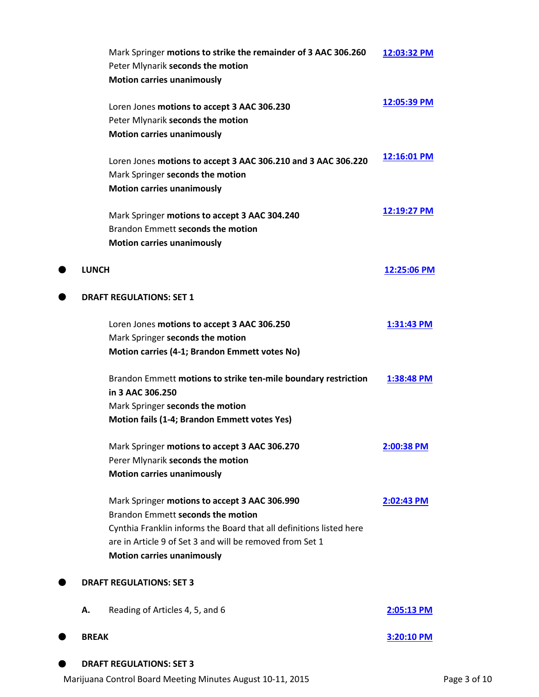|              | Mark Springer motions to strike the remainder of 3 AAC 306.260      | 12:03:32 PM  |
|--------------|---------------------------------------------------------------------|--------------|
|              | Peter Mlynarik seconds the motion                                   |              |
|              | <b>Motion carries unanimously</b>                                   |              |
|              | Loren Jones motions to accept 3 AAC 306.230                         | 12:05:39 PM  |
|              | Peter Mlynarik seconds the motion                                   |              |
|              | <b>Motion carries unanimously</b>                                   |              |
|              | Loren Jones motions to accept 3 AAC 306.210 and 3 AAC 306.220       | 12:16:01 PM  |
|              | Mark Springer seconds the motion                                    |              |
|              | <b>Motion carries unanimously</b>                                   |              |
|              | Mark Springer motions to accept 3 AAC 304.240                       | 12:19:27 PM  |
|              | Brandon Emmett seconds the motion                                   |              |
|              | <b>Motion carries unanimously</b>                                   |              |
| <b>LUNCH</b> |                                                                     | 12:25:06 PM  |
|              | <b>DRAFT REGULATIONS: SET 1</b>                                     |              |
|              |                                                                     |              |
|              | Loren Jones motions to accept 3 AAC 306.250                         | 1:31:43 PM   |
|              | Mark Springer seconds the motion                                    |              |
|              | Motion carries (4-1; Brandon Emmett votes No)                       |              |
|              | Brandon Emmett motions to strike ten-mile boundary restriction      | 1:38:48 PM   |
|              | in 3 AAC 306.250                                                    |              |
|              | Mark Springer seconds the motion                                    |              |
|              | Motion fails (1-4; Brandon Emmett votes Yes)                        |              |
|              | Mark Springer motions to accept 3 AAC 306.270                       | 2:00:38 PM   |
|              | Perer Mlynarik seconds the motion                                   |              |
|              | <b>Motion carries unanimously</b>                                   |              |
|              | Mark Springer motions to accept 3 AAC 306.990                       | 2:02:43 PM   |
|              | Brandon Emmett seconds the motion                                   |              |
|              | Cynthia Franklin informs the Board that all definitions listed here |              |
|              | are in Article 9 of Set 3 and will be removed from Set 1            |              |
|              | <b>Motion carries unanimously</b>                                   |              |
|              | <b>DRAFT REGULATIONS: SET 3</b>                                     |              |
| А.           | Reading of Articles 4, 5, and 6                                     | 2:05:13 PM   |
| <b>BREAK</b> |                                                                     | $3:20:10$ PM |
|              | <b>DRAFT REGULATIONS: SET 3</b>                                     |              |
|              |                                                                     |              |

Marijuana Control Board Meeting Minutes August 10-11, 2015 **Page 3 of 10** Page 3 of 10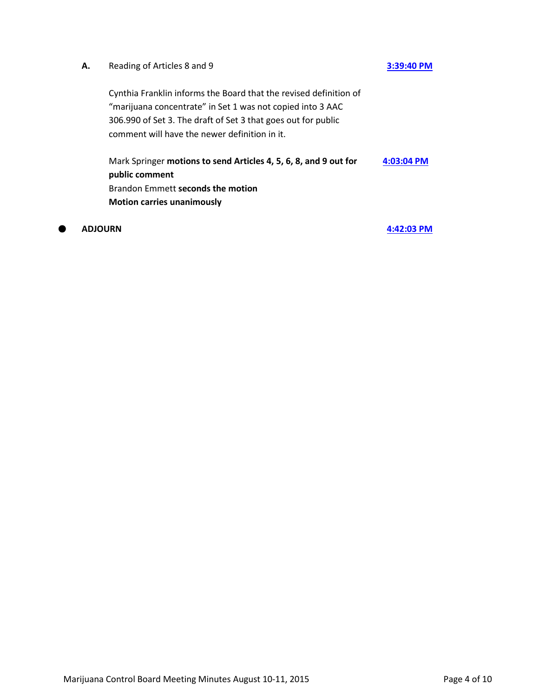# **A.** Reading of Articles 8 and 9 **[3:39:40 PM](ftr://?location="ABC Board"?date="10-Aug-2015"?position="15:39:40"?Data="606dc2ad")**

Cynthia Franklin informs the Board that the revised definition of "marijuana concentrate" in Set 1 was not copied into 3 AAC 306.990 of Set 3. The draft of Set 3 that goes out for public comment will have the newer definition in it.

Mark Springer **motions to send Articles 4, 5, 6, 8, and 9 out for public comment** Brandon Emmett **seconds the motion Motion carries unanimously [4:03:04 PM](ftr://?location="ABC Board"?date="10-Aug-2015"?position="16:03:04"?Data="3deae127")**

**ADJOURN [4:42:03 PM](ftr://?location="ABC Board"?date="10-Aug-2015"?position="16:42:03"?Data="4cf989df")**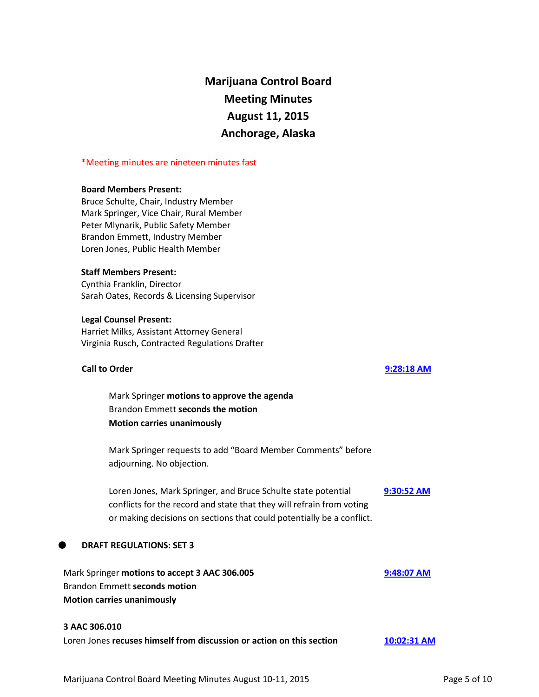# **Marijuana Control Board Meeting Minutes August 11, 2015 Anchorage, Alaska**

## \*Meeting minutes are nineteen minutes fast

# **Board Members Present:**

Bruce Schulte, Chair, Industry Member Mark Springer, Vice Chair, Rural Member Peter Mlynarik, Public Safety Member Brandon Emmett, Industry Member Loren Jones, Public Health Member

# **Staff Members Present:**

Cynthia Franklin, Director Sarah Oates, Records & Licensing Supervisor

# **Legal Counsel Present:**

Harriet Milks, Assistant Attorney General Virginia Rusch, Contracted Regulations Drafter

# **Call to Order [9:28:18 AM](ftr://?location="ABC Board"?date="11-Aug-2015"?position="09:28:18"?Data="7f18d9f9")**

Mark Springer **motions to approve the agenda** Brandon Emmett **seconds the motion Motion carries unanimously**

Mark Springer requests to add "Board Member Comments" before adjourning. No objection.

Loren Jones, Mark Springer, and Bruce Schulte state potential conflicts for the record and state that they will refrain from voting or making decisions on sections that could potentially be a conflict. **[9:30:52 AM](ftr://?location="ABC Board"?date="11-Aug-2015"?position="09:30:52"?Data="03467710")**

# **DRAFT REGULATIONS: SET 3**

| Mark Springer motions to accept 3 AAC 306.005 | 9:48:07 AM |
|-----------------------------------------------|------------|
| Brandon Emmett seconds motion                 |            |
| <b>Motion carries unanimously</b>             |            |

## **3 AAC 306.010**

| Loren Jones recuses himself from discussion or action on this section | $10:02:31$ AM |
|-----------------------------------------------------------------------|---------------|
|-----------------------------------------------------------------------|---------------|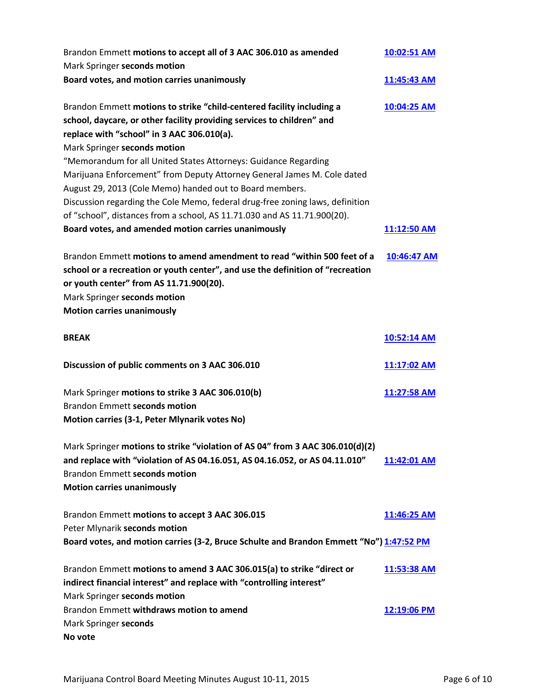| Brandon Emmett motions to accept all of 3 AAC 306.010 as amended<br>Mark Springer seconds motion                                                                                                                                                                                                                                                                                                                                                                                                                                                                                                     | 10:02:51 AM |
|------------------------------------------------------------------------------------------------------------------------------------------------------------------------------------------------------------------------------------------------------------------------------------------------------------------------------------------------------------------------------------------------------------------------------------------------------------------------------------------------------------------------------------------------------------------------------------------------------|-------------|
| Board votes, and motion carries unanimously                                                                                                                                                                                                                                                                                                                                                                                                                                                                                                                                                          | 11:45:43 AM |
| Brandon Emmett motions to strike "child-centered facility including a<br>school, daycare, or other facility providing services to children" and<br>replace with "school" in 3 AAC 306.010(a).<br>Mark Springer seconds motion<br>"Memorandum for all United States Attorneys: Guidance Regarding<br>Marijuana Enforcement" from Deputy Attorney General James M. Cole dated<br>August 29, 2013 (Cole Memo) handed out to Board members.<br>Discussion regarding the Cole Memo, federal drug-free zoning laws, definition<br>of "school", distances from a school, AS 11.71.030 and AS 11.71.900(20). | 10:04:25 AM |
| Board votes, and amended motion carries unanimously                                                                                                                                                                                                                                                                                                                                                                                                                                                                                                                                                  | 11:12:50 AM |
| Brandon Emmett motions to amend amendment to read "within 500 feet of a<br>school or a recreation or youth center", and use the definition of "recreation<br>or youth center" from AS 11.71.900(20).<br>Mark Springer seconds motion<br><b>Motion carries unanimously</b>                                                                                                                                                                                                                                                                                                                            | 10:46:47 AM |
| <b>BREAK</b>                                                                                                                                                                                                                                                                                                                                                                                                                                                                                                                                                                                         | 10:52:14 AM |
| Discussion of public comments on 3 AAC 306.010                                                                                                                                                                                                                                                                                                                                                                                                                                                                                                                                                       | 11:17:02 AM |
| Mark Springer motions to strike 3 AAC 306.010(b)<br><b>Brandon Emmett seconds motion</b><br>Motion carries (3-1, Peter Mlynarik votes No)                                                                                                                                                                                                                                                                                                                                                                                                                                                            | 11:27:58 AM |
| Mark Springer motions to strike "violation of AS 04" from 3 AAC 306.010(d)(2)<br>and replace with "violation of AS 04.16.051, AS 04.16.052, or AS 04.11.010"<br><b>Brandon Emmett seconds motion</b><br><b>Motion carries unanimously</b>                                                                                                                                                                                                                                                                                                                                                            | 11:42:01 AM |
| Brandon Emmett motions to accept 3 AAC 306.015<br>Peter Mlynarik seconds motion<br>Board votes, and motion carries (3-2, Bruce Schulte and Brandon Emmett "No") 1:47:52 PM                                                                                                                                                                                                                                                                                                                                                                                                                           | 11:46:25 AM |
| Brandon Emmett motions to amend 3 AAC 306.015(a) to strike "direct or<br>indirect financial interest" and replace with "controlling interest"<br>Mark Springer seconds motion                                                                                                                                                                                                                                                                                                                                                                                                                        | 11:53:38 AM |
| Brandon Emmett withdraws motion to amend<br>Mark Springer seconds<br>No vote                                                                                                                                                                                                                                                                                                                                                                                                                                                                                                                         | 12:19:06 PM |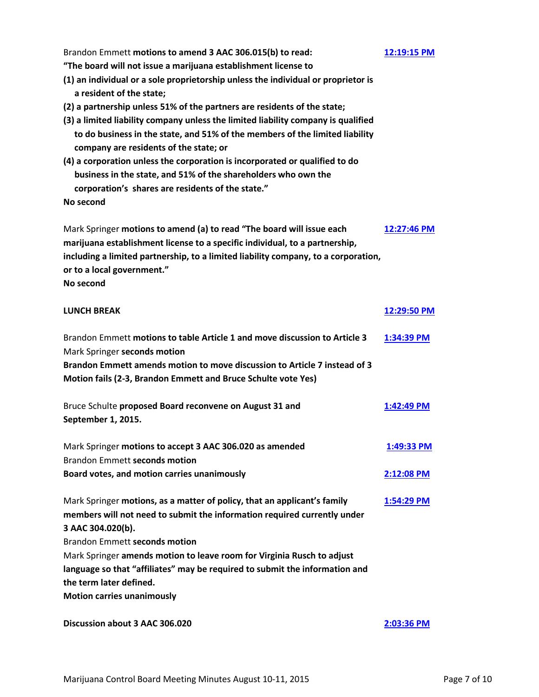| Brandon Emmett motions to amend 3 AAC 306.015(b) to read:<br>"The board will not issue a marijuana establishment license to                                                                                                                                                             | 12:19:15 PM |
|-----------------------------------------------------------------------------------------------------------------------------------------------------------------------------------------------------------------------------------------------------------------------------------------|-------------|
| (1) an individual or a sole proprietorship unless the individual or proprietor is<br>a resident of the state;                                                                                                                                                                           |             |
| (2) a partnership unless 51% of the partners are residents of the state;<br>(3) a limited liability company unless the limited liability company is qualified<br>to do business in the state, and 51% of the members of the limited liability<br>company are residents of the state; or |             |
| (4) a corporation unless the corporation is incorporated or qualified to do<br>business in the state, and 51% of the shareholders who own the<br>corporation's shares are residents of the state."                                                                                      |             |
| No second                                                                                                                                                                                                                                                                               |             |
| Mark Springer motions to amend (a) to read "The board will issue each<br>marijuana establishment license to a specific individual, to a partnership,<br>including a limited partnership, to a limited liability company, to a corporation,<br>or to a local government."<br>No second   | 12:27:46 PM |
| <b>LUNCH BREAK</b>                                                                                                                                                                                                                                                                      | 12:29:50 PM |
| Brandon Emmett motions to table Article 1 and move discussion to Article 3<br>Mark Springer seconds motion<br>Brandon Emmett amends motion to move discussion to Article 7 instead of 3<br>Motion fails (2-3, Brandon Emmett and Bruce Schulte vote Yes)                                | 1:34:39 PM  |
| Bruce Schulte proposed Board reconvene on August 31 and<br>September 1, 2015.                                                                                                                                                                                                           | 1:42:49 PM  |
| Mark Springer motions to accept 3 AAC 306.020 as amended<br><b>Brandon Emmett seconds motion</b>                                                                                                                                                                                        | 1:49:33 PM  |
| Board votes, and motion carries unanimously                                                                                                                                                                                                                                             | 2:12:08 PM  |
| Mark Springer motions, as a matter of policy, that an applicant's family<br>members will not need to submit the information required currently under<br>3 AAC 304.020(b).<br><b>Brandon Emmett seconds motion</b>                                                                       | 1:54:29 PM  |
| Mark Springer amends motion to leave room for Virginia Rusch to adjust<br>language so that "affiliates" may be required to submit the information and<br>the term later defined.                                                                                                        |             |
| <b>Motion carries unanimously</b>                                                                                                                                                                                                                                                       |             |
| Discussion about 3 AAC 306.020                                                                                                                                                                                                                                                          | 2:03:36 PM  |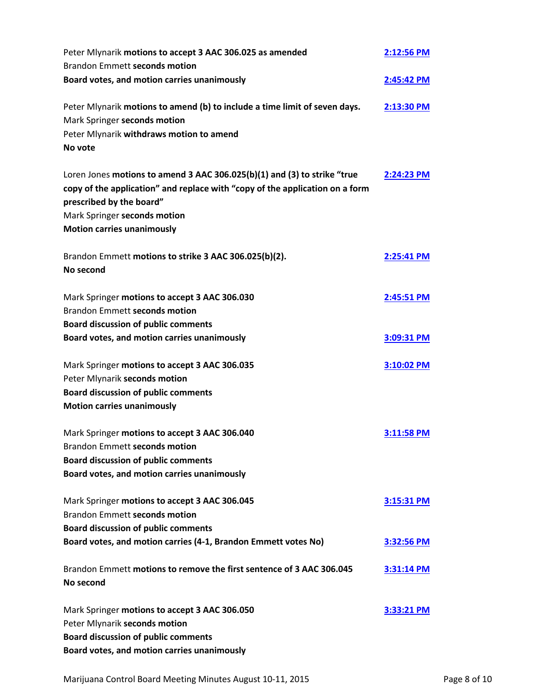| Peter Mlynarik motions to accept 3 AAC 306.025 as amended<br><b>Brandon Emmett seconds motion</b>                                                                                                                                                         | 2:12:56 PM   |
|-----------------------------------------------------------------------------------------------------------------------------------------------------------------------------------------------------------------------------------------------------------|--------------|
| Board votes, and motion carries unanimously                                                                                                                                                                                                               | 2:45:42 PM   |
| Peter Mlynarik motions to amend (b) to include a time limit of seven days.<br>Mark Springer seconds motion<br>Peter Mlynarik withdraws motion to amend<br>No vote                                                                                         | 2:13:30 PM   |
| Loren Jones motions to amend 3 AAC 306.025(b)(1) and (3) to strike "true<br>copy of the application" and replace with "copy of the application on a form<br>prescribed by the board"<br>Mark Springer seconds motion<br><b>Motion carries unanimously</b> | 2:24:23 PM   |
| Brandon Emmett motions to strike 3 AAC 306.025(b)(2).<br>No second                                                                                                                                                                                        | 2:25:41 PM   |
| Mark Springer motions to accept 3 AAC 306.030<br><b>Brandon Emmett seconds motion</b><br><b>Board discussion of public comments</b>                                                                                                                       | 2:45:51 PM   |
| Board votes, and motion carries unanimously                                                                                                                                                                                                               | 3:09:31 PM   |
| Mark Springer motions to accept 3 AAC 306.035<br>Peter Mlynarik seconds motion<br><b>Board discussion of public comments</b><br><b>Motion carries unanimously</b>                                                                                         | 3:10:02 PM   |
| Mark Springer motions to accept 3 AAC 306.040<br><b>Brandon Emmett seconds motion</b><br><b>Board discussion of public comments</b><br>Board votes, and motion carries unanimously                                                                        | 3:11:58 PM   |
| Mark Springer motions to accept 3 AAC 306.045<br><b>Brandon Emmett seconds motion</b>                                                                                                                                                                     | $3:15:31$ PM |
| <b>Board discussion of public comments</b><br>Board votes, and motion carries (4-1, Brandon Emmett votes No)                                                                                                                                              | 3:32:56 PM   |
| Brandon Emmett motions to remove the first sentence of 3 AAC 306.045<br>No second                                                                                                                                                                         | 3:31:14 PM   |
| Mark Springer motions to accept 3 AAC 306.050<br>Peter Mlynarik seconds motion<br><b>Board discussion of public comments</b><br>Board votes, and motion carries unanimously                                                                               | 3:33:21 PM   |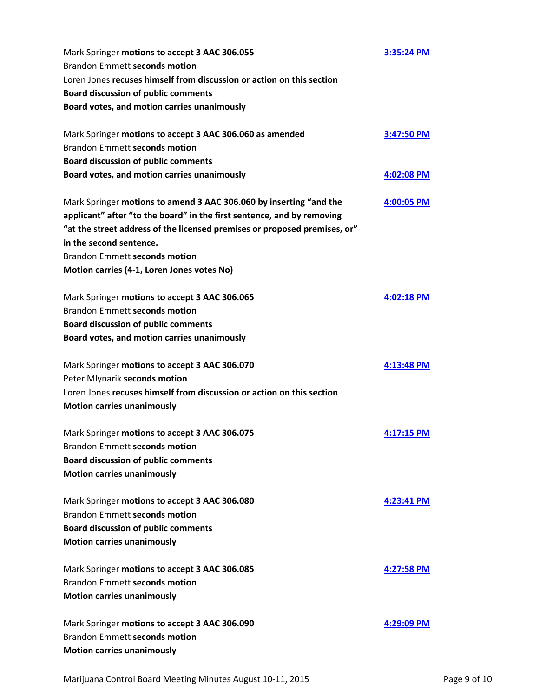| Mark Springer motions to accept 3 AAC 306.055<br><b>Brandon Emmett seconds motion</b>                | 3:35:24 PM   |
|------------------------------------------------------------------------------------------------------|--------------|
| Loren Jones recuses himself from discussion or action on this section                                |              |
| <b>Board discussion of public comments</b>                                                           |              |
| Board votes, and motion carries unanimously                                                          |              |
| Mark Springer motions to accept 3 AAC 306.060 as amended                                             | 3:47:50 PM   |
| <b>Brandon Emmett seconds motion</b>                                                                 |              |
| <b>Board discussion of public comments</b>                                                           |              |
| Board votes, and motion carries unanimously                                                          | 4:02:08 PM   |
| Mark Springer motions to amend 3 AAC 306.060 by inserting "and the                                   | 4:00:05 PM   |
| applicant" after "to the board" in the first sentence, and by removing                               |              |
| "at the street address of the licensed premises or proposed premises, or"<br>in the second sentence. |              |
| <b>Brandon Emmett seconds motion</b>                                                                 |              |
| Motion carries (4-1, Loren Jones votes No)                                                           |              |
| Mark Springer motions to accept 3 AAC 306.065                                                        | 4:02:18 PM   |
| <b>Brandon Emmett seconds motion</b>                                                                 |              |
| <b>Board discussion of public comments</b>                                                           |              |
| Board votes, and motion carries unanimously                                                          |              |
| Mark Springer motions to accept 3 AAC 306.070                                                        | 4:13:48 PM   |
| Peter Mlynarik seconds motion                                                                        |              |
| Loren Jones recuses himself from discussion or action on this section                                |              |
| <b>Motion carries unanimously</b>                                                                    |              |
| Mark Springer motions to accept 3 AAC 306.075                                                        | $4:17:15$ PM |
| Brandon Emmett seconds motion                                                                        |              |
| <b>Board discussion of public comments</b>                                                           |              |
| <b>Motion carries unanimously</b>                                                                    |              |
| Mark Springer motions to accept 3 AAC 306.080                                                        | 4:23:41 PM   |
| <b>Brandon Emmett seconds motion</b>                                                                 |              |
| <b>Board discussion of public comments</b>                                                           |              |
| <b>Motion carries unanimously</b>                                                                    |              |
| Mark Springer motions to accept 3 AAC 306.085                                                        | 4:27:58 PM   |
| <b>Brandon Emmett seconds motion</b>                                                                 |              |
| <b>Motion carries unanimously</b>                                                                    |              |
| Mark Springer motions to accept 3 AAC 306.090                                                        | 4:29:09 PM   |
| Brandon Emmett seconds motion                                                                        |              |
| <b>Motion carries unanimously</b>                                                                    |              |